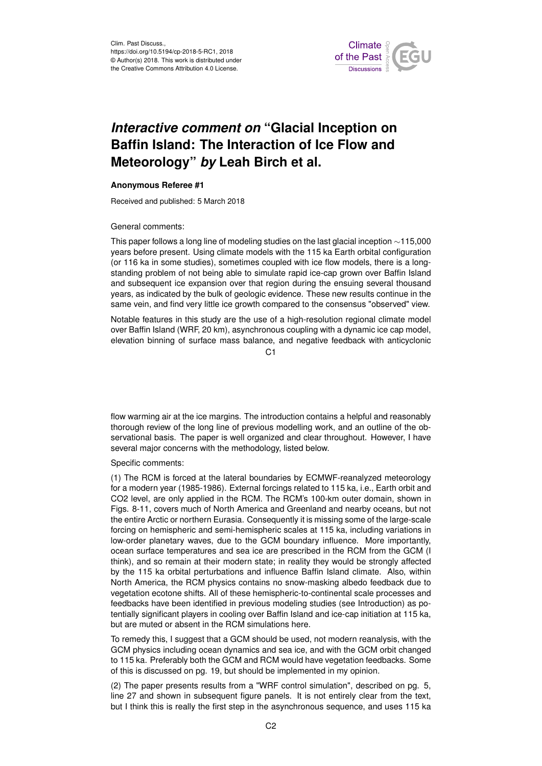

## *Interactive comment on* **"Glacial Inception on Baffin Island: The Interaction of Ice Flow and Meteorology"** *by* **Leah Birch et al.**

## **Anonymous Referee #1**

Received and published: 5 March 2018

General comments:

This paper follows a long line of modeling studies on the last glacial inception ∼115,000 years before present. Using climate models with the 115 ka Earth orbital configuration (or 116 ka in some studies), sometimes coupled with ice flow models, there is a longstanding problem of not being able to simulate rapid ice-cap grown over Baffin Island and subsequent ice expansion over that region during the ensuing several thousand years, as indicated by the bulk of geologic evidence. These new results continue in the same vein, and find very little ice growth compared to the consensus "observed" view.

Notable features in this study are the use of a high-resolution regional climate model over Baffin Island (WRF, 20 km), asynchronous coupling with a dynamic ice cap model, elevation binning of surface mass balance, and negative feedback with anticyclonic

 $C<sub>1</sub>$ 

flow warming air at the ice margins. The introduction contains a helpful and reasonably thorough review of the long line of previous modelling work, and an outline of the observational basis. The paper is well organized and clear throughout. However, I have several major concerns with the methodology, listed below.

Specific comments:

(1) The RCM is forced at the lateral boundaries by ECMWF-reanalyzed meteorology for a modern year (1985-1986). External forcings related to 115 ka, i.e., Earth orbit and CO2 level, are only applied in the RCM. The RCM's 100-km outer domain, shown in Figs. 8-11, covers much of North America and Greenland and nearby oceans, but not the entire Arctic or northern Eurasia. Consequently it is missing some of the large-scale forcing on hemispheric and semi-hemispheric scales at 115 ka, including variations in low-order planetary waves, due to the GCM boundary influence. More importantly, ocean surface temperatures and sea ice are prescribed in the RCM from the GCM (I think), and so remain at their modern state; in reality they would be strongly affected by the 115 ka orbital perturbations and influence Baffin Island climate. Also, within North America, the RCM physics contains no snow-masking albedo feedback due to vegetation ecotone shifts. All of these hemispheric-to-continental scale processes and feedbacks have been identified in previous modeling studies (see Introduction) as potentially significant players in cooling over Baffin Island and ice-cap initiation at 115 ka, but are muted or absent in the RCM simulations here.

To remedy this, I suggest that a GCM should be used, not modern reanalysis, with the GCM physics including ocean dynamics and sea ice, and with the GCM orbit changed to 115 ka. Preferably both the GCM and RCM would have vegetation feedbacks. Some of this is discussed on pg. 19, but should be implemented in my opinion.

(2) The paper presents results from a "WRF control simulation", described on pg. 5, line 27 and shown in subsequent figure panels. It is not entirely clear from the text, but I think this is really the first step in the asynchronous sequence, and uses 115 ka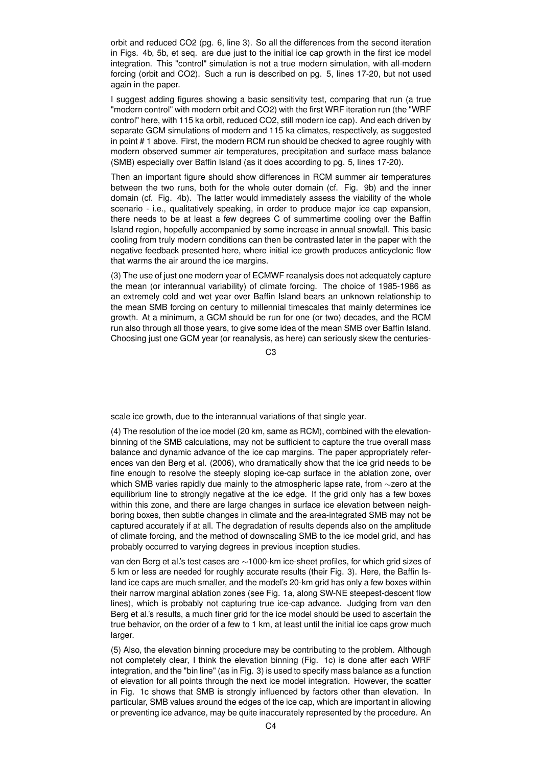orbit and reduced CO2 (pg. 6, line 3). So all the differences from the second iteration in Figs. 4b, 5b, et seq. are due just to the initial ice cap growth in the first ice model integration. This "control" simulation is not a true modern simulation, with all-modern forcing (orbit and CO2). Such a run is described on pg. 5, lines 17-20, but not used again in the paper.

I suggest adding figures showing a basic sensitivity test, comparing that run (a true "modern control" with modern orbit and CO2) with the first WRF iteration run (the "WRF control" here, with 115 ka orbit, reduced CO2, still modern ice cap). And each driven by separate GCM simulations of modern and 115 ka climates, respectively, as suggested in point # 1 above. First, the modern RCM run should be checked to agree roughly with modern observed summer air temperatures, precipitation and surface mass balance (SMB) especially over Baffin Island (as it does according to pg. 5, lines 17-20).

Then an important figure should show differences in RCM summer air temperatures between the two runs, both for the whole outer domain (cf. Fig. 9b) and the inner domain (cf. Fig. 4b). The latter would immediately assess the viability of the whole scenario - i.e., qualitatively speaking, in order to produce major ice cap expansion, there needs to be at least a few degrees C of summertime cooling over the Baffin Island region, hopefully accompanied by some increase in annual snowfall. This basic cooling from truly modern conditions can then be contrasted later in the paper with the negative feedback presented here, where initial ice growth produces anticyclonic flow that warms the air around the ice margins.

(3) The use of just one modern year of ECMWF reanalysis does not adequately capture the mean (or interannual variability) of climate forcing. The choice of 1985-1986 as an extremely cold and wet year over Baffin Island bears an unknown relationship to the mean SMB forcing on century to millennial timescales that mainly determines ice growth. At a minimum, a GCM should be run for one (or two) decades, and the RCM run also through all those years, to give some idea of the mean SMB over Baffin Island. Choosing just one GCM year (or reanalysis, as here) can seriously skew the centuries-

 $C3$ 

scale ice growth, due to the interannual variations of that single year.

(4) The resolution of the ice model (20 km, same as RCM), combined with the elevationbinning of the SMB calculations, may not be sufficient to capture the true overall mass balance and dynamic advance of the ice cap margins. The paper appropriately references van den Berg et al. (2006), who dramatically show that the ice grid needs to be fine enough to resolve the steeply sloping ice-cap surface in the ablation zone, over which SMB varies rapidly due mainly to the atmospheric lapse rate, from ∼zero at the equilibrium line to strongly negative at the ice edge. If the grid only has a few boxes within this zone, and there are large changes in surface ice elevation between neighboring boxes, then subtle changes in climate and the area-integrated SMB may not be captured accurately if at all. The degradation of results depends also on the amplitude of climate forcing, and the method of downscaling SMB to the ice model grid, and has probably occurred to varying degrees in previous inception studies.

van den Berg et al.'s test cases are ∼1000-km ice-sheet profiles, for which grid sizes of 5 km or less are needed for roughly accurate results (their Fig. 3). Here, the Baffin Island ice caps are much smaller, and the model's 20-km grid has only a few boxes within their narrow marginal ablation zones (see Fig. 1a, along SW-NE steepest-descent flow lines), which is probably not capturing true ice-cap advance. Judging from van den Berg et al.'s results, a much finer grid for the ice model should be used to ascertain the true behavior, on the order of a few to 1 km, at least until the initial ice caps grow much larger.

(5) Also, the elevation binning procedure may be contributing to the problem. Although not completely clear, I think the elevation binning (Fig. 1c) is done after each WRF integration, and the "bin line" (as in Fig. 3) is used to specify mass balance as a function of elevation for all points through the next ice model integration. However, the scatter in Fig. 1c shows that SMB is strongly influenced by factors other than elevation. In particular, SMB values around the edges of the ice cap, which are important in allowing or preventing ice advance, may be quite inaccurately represented by the procedure. An